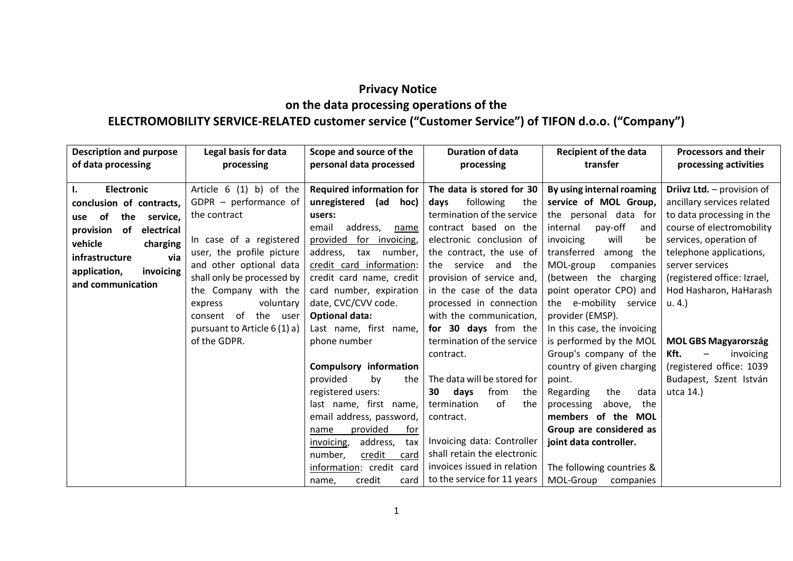# **Privacy Notice on the data processing operations of the ELECTROMOBILITY SERVICE-RELATED customer service ("Customer Service") of TIFON d.o.o. ("Company")**

| <b>Description and purpose</b><br>of data processing | Legal basis for data<br>processing | Scope and source of the<br>personal data processed | <b>Duration of data</b><br>processing | <b>Recipient of the data</b><br>transfer | <b>Processors and their</b><br>processing activities |
|------------------------------------------------------|------------------------------------|----------------------------------------------------|---------------------------------------|------------------------------------------|------------------------------------------------------|
| <b>Electronic</b><br>ı.                              | Article $6(1)$ b) of the           | <b>Required information for</b>                    | The data is stored for 30             | By using internal roaming                | Driivz Ltd. - provision of                           |
| conclusion of contracts,                             | GDPR $-$ performance of            | (ad<br>unregistered<br>hoc)                        | following<br>days<br>the              | service of MOL Group,                    | ancillary services related                           |
| the<br>of<br>service,<br>use                         | the contract                       | users:                                             | termination of the service            | the personal data for                    | to data processing in the                            |
| of<br>provision<br>electrical                        |                                    | address,<br>email<br>name                          | contract based on the                 | internal<br>pay-off<br>and               | course of electromobility                            |
| vehicle<br>charging                                  | In case of a registered            | for invoicing,<br>provided                         | electronic conclusion of              | will<br>invoicing<br>be                  | services, operation of                               |
| via<br>infrastructure                                | user, the profile picture          | address,<br>tax number,                            | the contract, the use of              | transferred<br>among<br>the              | telephone applications,                              |
| application,<br>invoicing                            | and other optional data            | credit card information:                           | service<br>the<br>and the             | MOL-group<br>companies                   | server services                                      |
| and communication                                    | shall only be processed by         | credit card name, credit                           | provision of service and,             | (between the charging                    | (registered office: Izrael,                          |
|                                                      | the Company with the               | card number, expiration                            | in the case of the data               | point operator CPO) and                  | Hod Hasharon, HaHarash                               |
|                                                      | voluntary<br>express               | date, CVC/CVV code.                                | processed in connection               | the e-mobility service                   | u. 4.)                                               |
|                                                      | of the user<br>consent             | <b>Optional data:</b>                              | with the communication,               | provider (EMSP).                         |                                                      |
|                                                      | pursuant to Article 6 (1) a)       | Last name, first name,                             | for 30 days from the                  | In this case, the invoicing              |                                                      |
|                                                      | of the GDPR.                       | phone number                                       | termination of the service            | is performed by the MOL                  | <b>MOL GBS Magyarország</b>                          |
|                                                      |                                    |                                                    | contract.                             | Group's company of the                   | Kft.<br>invoicing<br>$\qquad \qquad -$               |
|                                                      |                                    | <b>Compulsory information</b>                      |                                       | country of given charging                | (registered office: 1039                             |
|                                                      |                                    | provided<br>the<br>by                              | The data will be stored for           | point.                                   | Budapest, Szent István                               |
|                                                      |                                    | registered users:                                  | from<br>days<br>30<br>the             | Regarding<br>the<br>data                 | utca 14.)                                            |
|                                                      |                                    | last name, first name,                             | of<br>termination<br>the              | processing<br>above,<br>the              |                                                      |
|                                                      |                                    | email address, password,                           | contract.                             | members of the MOL                       |                                                      |
|                                                      |                                    | provided<br>for<br>name                            |                                       | Group are considered as                  |                                                      |
|                                                      |                                    | address,<br>invoicing,<br>tax                      | Invoicing data: Controller            | joint data controller.                   |                                                      |
|                                                      |                                    | number,<br>credit<br>card                          | shall retain the electronic           |                                          |                                                      |
|                                                      |                                    | information: credit card                           | invoices issued in relation           | The following countries &                |                                                      |
|                                                      |                                    | credit<br>card<br>name,                            | to the service for 11 years           | MOL-Group companies                      |                                                      |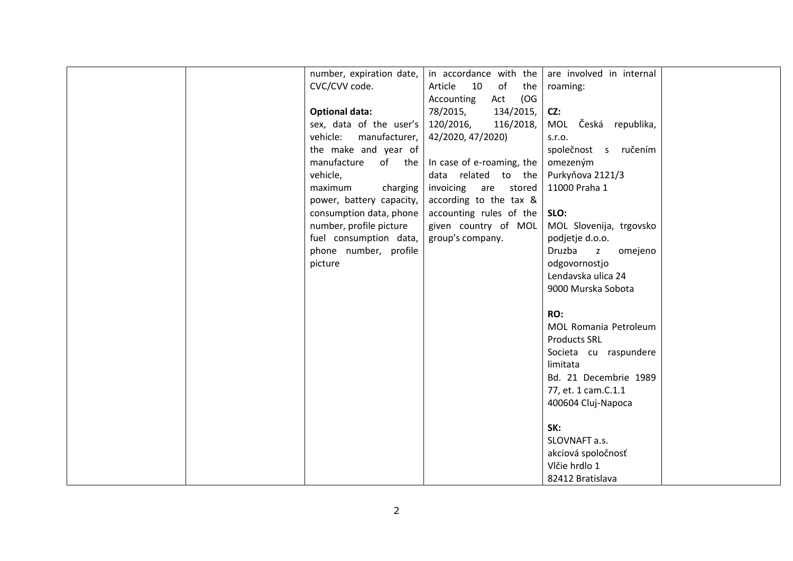| number, expiration date,                  | in accordance with the     | are involved in internal          |
|-------------------------------------------|----------------------------|-----------------------------------|
| CVC/CVV code.                             | 10<br>of<br>Article<br>the | roaming:                          |
|                                           | (OG)<br>Act<br>Accounting  |                                   |
| <b>Optional data:</b>                     | 134/2015,<br>78/2015,      | CZ:                               |
| sex, data of the user's $\vert$ 120/2016, | 116/2018,                  | MOL Česká republika,              |
| vehicle:<br>manufacturer,                 | 42/2020, 47/2020)          | S.T.O.                            |
| the make and year of                      |                            | společnost s ručením              |
| manufacture<br>of the $ $                 | In case of e-roaming, the  | omezeným                          |
| vehicle,                                  | data related to the        | Purkyňova 2121/3                  |
| charging<br>maximum                       | invoicing<br>are<br>stored | 11000 Praha 1                     |
| power, battery capacity,                  | according to the tax &     |                                   |
| consumption data, phone                   | accounting rules of the    | SLO:                              |
| number, profile picture                   | given country of MOL       | MOL Slovenija, trgovsko           |
| fuel consumption data,                    | group's company.           | podjetje d.o.o.                   |
| phone number, profile                     |                            | Druzba<br>omejeno<br>$\mathsf{z}$ |
| picture                                   |                            | odgovornostjo                     |
|                                           |                            | Lendavska ulica 24                |
|                                           |                            | 9000 Murska Sobota                |
|                                           |                            |                                   |
|                                           |                            | RO:                               |
|                                           |                            | MOL Romania Petroleum             |
|                                           |                            | <b>Products SRL</b>               |
|                                           |                            | Societa cu raspundere             |
|                                           |                            | limitata                          |
|                                           |                            | Bd. 21 Decembrie 1989             |
|                                           |                            | 77, et. 1 cam.C.1.1               |
|                                           |                            | 400604 Cluj-Napoca                |
|                                           |                            |                                   |
|                                           |                            | SK:                               |
|                                           |                            | SLOVNAFT a.s.                     |
|                                           |                            | akciová spoločnosť                |
|                                           |                            | Vlčie hrdlo 1                     |
|                                           |                            | 82412 Bratislava                  |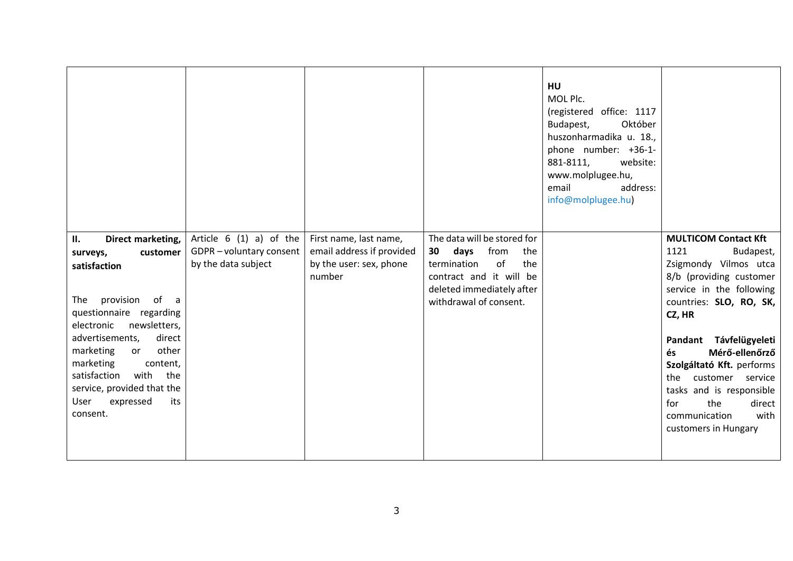|                                                                                                                                                                                                                                                                                                                                               |                                                                           |                                                                                          |                                                                                                                                                                        | <b>HU</b><br>MOL Plc.<br>(registered office: 1117<br>Október<br>Budapest,<br>huszonharmadika u. 18.,<br>phone number: +36-1-<br>881-8111,<br>website:<br>www.molplugee.hu,<br>email<br>address:<br>info@molplugee.hu) |                                                                                                                                                                                                                                                                                                                                                                                   |
|-----------------------------------------------------------------------------------------------------------------------------------------------------------------------------------------------------------------------------------------------------------------------------------------------------------------------------------------------|---------------------------------------------------------------------------|------------------------------------------------------------------------------------------|------------------------------------------------------------------------------------------------------------------------------------------------------------------------|-----------------------------------------------------------------------------------------------------------------------------------------------------------------------------------------------------------------------|-----------------------------------------------------------------------------------------------------------------------------------------------------------------------------------------------------------------------------------------------------------------------------------------------------------------------------------------------------------------------------------|
| Direct marketing,<br>П.<br>customer<br>surveys,<br>satisfaction<br>provision<br>The<br>of<br>a a<br>questionnaire regarding<br>newsletters,<br>electronic<br>advertisements,<br>direct<br>other<br>marketing<br>or<br>marketing<br>content,<br>satisfaction<br>with the<br>service, provided that the<br>User<br>expressed<br>its<br>consent. | Article $6(1)$ a) of the<br>GDPR-voluntary consent<br>by the data subject | First name, last name,<br>email address if provided<br>by the user: sex, phone<br>number | The data will be stored for<br>days<br>from<br>30<br>the<br>of<br>termination<br>the<br>contract and it will be<br>deleted immediately after<br>withdrawal of consent. |                                                                                                                                                                                                                       | <b>MULTICOM Contact Kft</b><br>1121<br>Budapest,<br>Zsigmondy Vilmos utca<br>8/b (providing customer<br>service in the following<br>countries: SLO, RO, SK,<br>CZ, HR<br>Pandant Távfelügyeleti<br>Mérő-ellenőrző<br>és<br>Szolgáltató Kft. performs<br>the customer service<br>tasks and is responsible<br>the<br>direct<br>for<br>communication<br>with<br>customers in Hungary |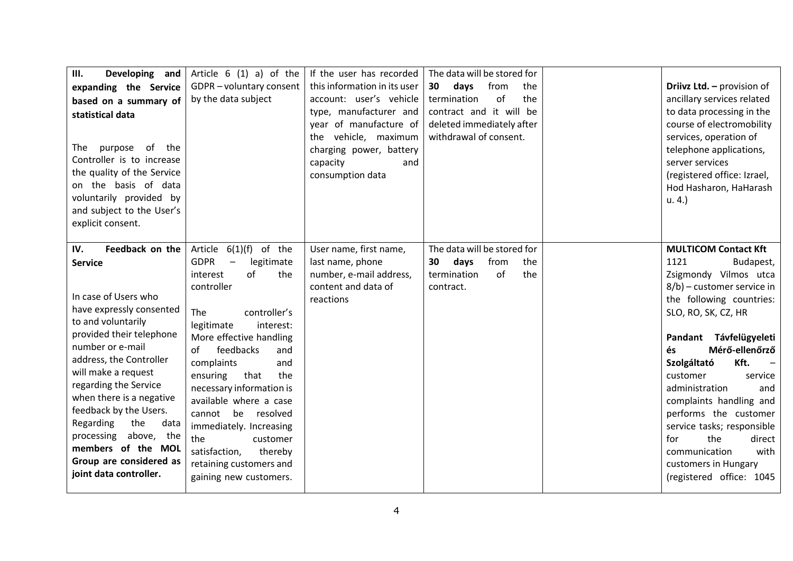| Ш.<br>Developing and<br>expanding the Service<br>based on a summary of<br>statistical data<br>purpose<br>The<br>of<br>the<br>Controller is to increase<br>the quality of the Service<br>on the basis of data<br>voluntarily provided by<br>and subject to the User's<br>explicit consent.                                                                                                                                              | Article $6(1)$ a) of the<br>GDPR-voluntary consent<br>by the data subject                                                                                                                                                                                                                                                                                                                                                                                            | If the user has recorded<br>this information in its user<br>account: user's vehicle<br>type, manufacturer and<br>year of manufacture of<br>the vehicle, maximum<br>charging power, battery<br>capacity<br>and<br>consumption data | The data will be stored for<br>from<br>days<br>30<br>the<br>of<br>the<br>termination<br>contract and it will be<br>deleted immediately after<br>withdrawal of consent. | Driivz Ltd. - provision of<br>ancillary services related<br>to data processing in the<br>course of electromobility<br>services, operation of<br>telephone applications,<br>server services<br>(registered office: Izrael,<br>Hod Hasharon, HaHarash<br>$u. 4.$ )                                                                                                                                                                                                           |
|----------------------------------------------------------------------------------------------------------------------------------------------------------------------------------------------------------------------------------------------------------------------------------------------------------------------------------------------------------------------------------------------------------------------------------------|----------------------------------------------------------------------------------------------------------------------------------------------------------------------------------------------------------------------------------------------------------------------------------------------------------------------------------------------------------------------------------------------------------------------------------------------------------------------|-----------------------------------------------------------------------------------------------------------------------------------------------------------------------------------------------------------------------------------|------------------------------------------------------------------------------------------------------------------------------------------------------------------------|----------------------------------------------------------------------------------------------------------------------------------------------------------------------------------------------------------------------------------------------------------------------------------------------------------------------------------------------------------------------------------------------------------------------------------------------------------------------------|
| Feedback on the<br>IV.<br><b>Service</b><br>In case of Users who<br>have expressly consented<br>to and voluntarily<br>provided their telephone<br>number or e-mail<br>address, the Controller<br>will make a request<br>regarding the Service<br>when there is a negative<br>feedback by the Users.<br>Regarding<br>the<br>data<br>processing<br>above, the<br>members of the MOL<br>Group are considered as<br>joint data controller. | $6(1)(f)$ of the<br>Article<br><b>GDPR</b><br>legitimate<br>of<br>the<br>interest<br>controller<br>The<br>controller's<br>legitimate<br>interest:<br>More effective handling<br>feedbacks<br>of<br>and<br>complaints<br>and<br>ensuring<br>that<br>the<br>necessary information is<br>available where a case<br>cannot<br>be resolved<br>immediately. Increasing<br>the<br>customer<br>satisfaction,<br>thereby<br>retaining customers and<br>gaining new customers. | User name, first name,<br>last name, phone<br>number, e-mail address,<br>content and data of<br>reactions                                                                                                                         | The data will be stored for<br>days<br>30<br>from<br>the<br>of<br>the<br>termination<br>contract.                                                                      | <b>MULTICOM Contact Kft</b><br>1121<br>Budapest,<br>Zsigmondy Vilmos utca<br>8/b) - customer service in<br>the following countries:<br>SLO, RO, SK, CZ, HR<br>Pandant Távfelügyeleti<br>Mérő-ellenőrző<br>és<br>Kft.<br>Szolgáltató<br>customer<br>service<br>administration<br>and<br>complaints handling and<br>performs the customer<br>service tasks; responsible<br>the<br>direct<br>for<br>communication<br>with<br>customers in Hungary<br>(registered office: 1045 |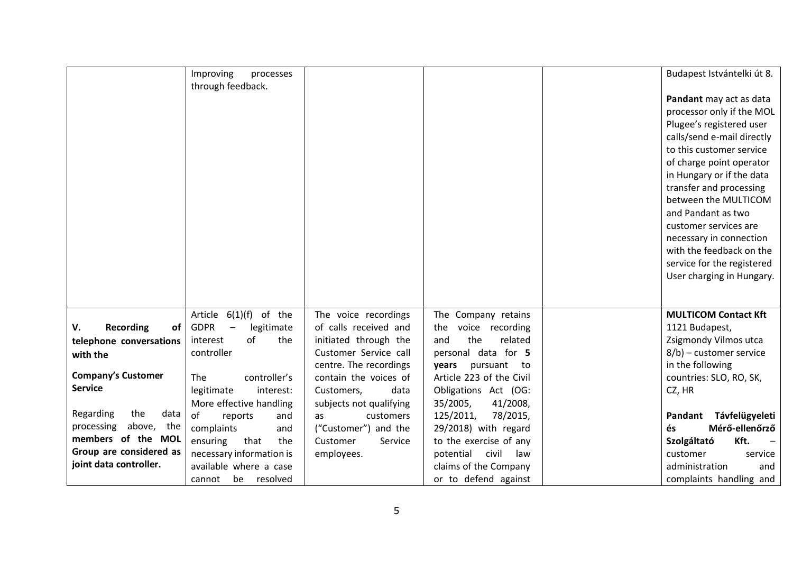|                              | Improving<br>processes                         |                         |                          | Budapest Istvántelki út 8.  |
|------------------------------|------------------------------------------------|-------------------------|--------------------------|-----------------------------|
|                              | through feedback.                              |                         |                          |                             |
|                              |                                                |                         |                          | Pandant may act as data     |
|                              |                                                |                         |                          | processor only if the MOL   |
|                              |                                                |                         |                          | Plugee's registered user    |
|                              |                                                |                         |                          | calls/send e-mail directly  |
|                              |                                                |                         |                          | to this customer service    |
|                              |                                                |                         |                          | of charge point operator    |
|                              |                                                |                         |                          | in Hungary or if the data   |
|                              |                                                |                         |                          | transfer and processing     |
|                              |                                                |                         |                          | between the MULTICOM        |
|                              |                                                |                         |                          | and Pandant as two          |
|                              |                                                |                         |                          | customer services are       |
|                              |                                                |                         |                          | necessary in connection     |
|                              |                                                |                         |                          | with the feedback on the    |
|                              |                                                |                         |                          | service for the registered  |
|                              |                                                |                         |                          | User charging in Hungary.   |
|                              |                                                |                         |                          |                             |
|                              | of the<br>6(1)(f)<br>Article                   | The voice recordings    | The Company retains      | <b>MULTICOM Contact Kft</b> |
| <b>Recording</b><br>of<br>V. | <b>GDPR</b><br>legitimate<br>$\qquad \qquad -$ | of calls received and   | voice recording<br>the   | 1121 Budapest,              |
| telephone conversations      | of<br>the<br>interest                          | initiated through the   | the<br>related<br>and    | Zsigmondy Vilmos utca       |
| with the                     | controller                                     | Customer Service call   | personal data for 5      | $8/b$ ) – customer service  |
|                              |                                                | centre. The recordings  | years<br>pursuant to     | in the following            |
| <b>Company's Customer</b>    | controller's<br>The                            | contain the voices of   | Article 223 of the Civil | countries: SLO, RO, SK,     |
| <b>Service</b>               | legitimate<br>interest:                        | Customers,<br>data      | Obligations Act (OG:     | CZ, HR                      |
|                              | More effective handling                        | subjects not qualifying | 35/2005,<br>41/2008,     |                             |
| Regarding<br>the<br>data     | of<br>reports<br>and                           | customers<br>as         | 125/2011,<br>78/2015,    | Távfelügyeleti<br>Pandant   |
| above,<br>the<br>processing  | complaints<br>and                              | ("Customer") and the    | 29/2018) with regard     | Mérő-ellenőrző<br>és        |
| members of the MOL           | ensuring<br>that<br>the                        | Customer<br>Service     | to the exercise of any   | Kft.<br>Szolgáltató         |
| Group are considered as      | necessary information is                       | employees.              | potential civil<br>law   | customer<br>service         |
| joint data controller.       | available where a case                         |                         | claims of the Company    | administration<br>and       |
|                              | be resolved<br>cannot                          |                         | or to defend against     | complaints handling and     |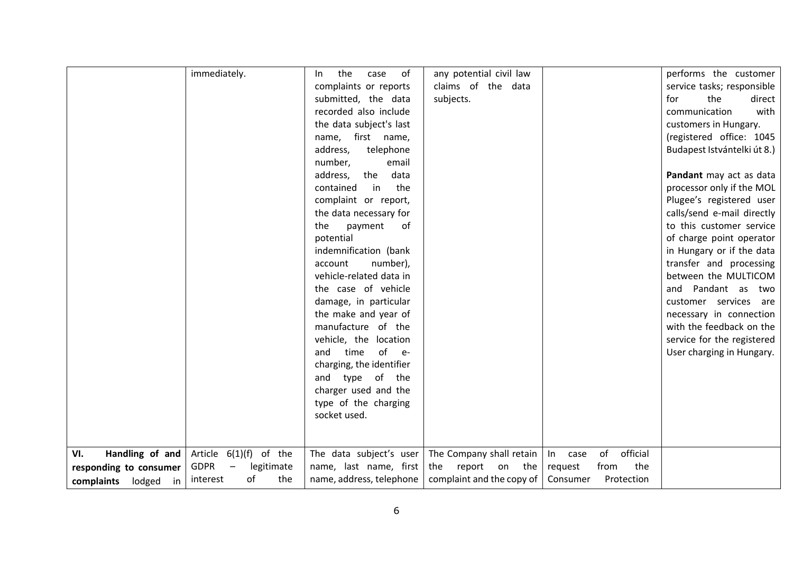| immediately.                          | the<br>In.                                          | of<br>any potential civil law<br>case |                |                | performs the customer       |        |
|---------------------------------------|-----------------------------------------------------|---------------------------------------|----------------|----------------|-----------------------------|--------|
|                                       | complaints or reports                               | claims of the data                    |                |                | service tasks; responsible  |        |
|                                       | submitted, the data                                 | subjects.                             |                |                | the<br>for                  | direct |
|                                       | recorded also include                               |                                       |                |                | communication               | with   |
|                                       | the data subject's last                             |                                       |                |                | customers in Hungary.       |        |
|                                       | name, first name,                                   |                                       |                |                | (registered office: 1045    |        |
|                                       | address,                                            | telephone                             |                |                | Budapest Istvántelki út 8.) |        |
|                                       | number,                                             | email                                 |                |                |                             |        |
|                                       | address,<br>the                                     | data                                  |                |                | Pandant may act as data     |        |
|                                       | contained                                           | in<br>the                             |                |                | processor only if the MOL   |        |
|                                       | complaint or report,                                |                                       |                |                | Plugee's registered user    |        |
|                                       | the data necessary for                              |                                       |                |                | calls/send e-mail directly  |        |
|                                       | the<br>payment                                      | of                                    |                |                | to this customer service    |        |
|                                       | potential                                           |                                       |                |                | of charge point operator    |        |
|                                       | indemnification (bank                               |                                       |                |                | in Hungary or if the data   |        |
|                                       | account                                             | number),                              |                |                | transfer and processing     |        |
|                                       | vehicle-related data in                             |                                       |                |                | between the MULTICOM        |        |
|                                       | the case of vehicle                                 |                                       |                |                | and Pandant as two          |        |
|                                       | damage, in particular                               |                                       |                |                | customer services are       |        |
|                                       | the make and year of                                |                                       |                |                | necessary in connection     |        |
|                                       | manufacture of the                                  |                                       |                |                | with the feedback on the    |        |
|                                       | vehicle, the location                               |                                       |                |                | service for the registered  |        |
|                                       | and<br>time                                         | of<br>$-e-$                           |                |                | User charging in Hungary.   |        |
|                                       | charging, the identifier                            |                                       |                |                |                             |        |
|                                       | and type of the                                     |                                       |                |                |                             |        |
|                                       | charger used and the                                |                                       |                |                |                             |        |
|                                       | type of the charging                                |                                       |                |                |                             |        |
|                                       | socket used.                                        |                                       |                |                |                             |        |
|                                       |                                                     |                                       |                |                |                             |        |
|                                       |                                                     |                                       |                |                |                             |        |
| Handling of and<br>VI.                | Article $6(1)(f)$ of the<br>The data subject's user | The Company shall retain              | In<br>case     | official<br>of |                             |        |
| <b>GDPR</b><br>responding to consumer | legitimate<br>name, last name, first                | the report on                         | the<br>request | the<br>from    |                             |        |
| interest<br>complaints lodged in      | of<br>the<br>name, address, telephone               | complaint and the copy of             | Consumer       | Protection     |                             |        |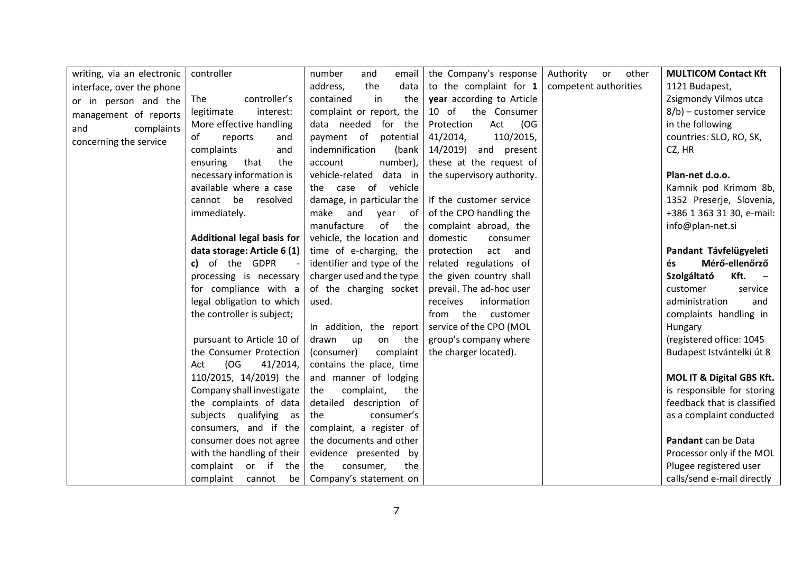| writing, via an electronic | controller                  | number<br>and<br>email     | the Company's response     | Authority or<br>other | <b>MULTICOM Contact Kft</b> |
|----------------------------|-----------------------------|----------------------------|----------------------------|-----------------------|-----------------------------|
| interface, over the phone  |                             | the<br>data<br>address,    | to the complaint for $1$   | competent authorities | 1121 Budapest,              |
| or in person and the       | controller's<br>The         | in<br>contained<br>the     | year according to Article  |                       | Zsigmondy Vilmos utca       |
| management of reports      | legitimate<br>interest:     | complaint or report, the   | $10$ of<br>the Consumer    |                       | 8/b) - customer service     |
| complaints<br>and          | More effective handling     | data needed<br>for the     | (OG<br>Protection<br>Act   |                       | in the following            |
| concerning the service     | of<br>reports<br>and        | payment of potential       | 41/2014,<br>110/2015,      |                       | countries: SLO, RO, SK,     |
|                            | complaints<br>and           | indemnification<br>(bank   | 14/2019)<br>and present    |                       | CZ, HR                      |
|                            | ensuring<br>that<br>the     | number),<br>account        | these at the request of    |                       |                             |
|                            | necessary information is    | vehicle-related<br>data in | the supervisory authority. |                       | Plan-net d.o.o.             |
|                            | available where a case      | the case of vehicle        |                            |                       | Kamnik pod Krimom 8b,       |
|                            | cannot be<br>resolved       | damage, in particular the  | If the customer service    |                       | 1352 Preserje, Slovenia,    |
|                            | immediately.                | make<br>and<br>of<br>year  | of the CPO handling the    |                       | +386 1 363 31 30, e-mail:   |
|                            |                             | manufacture<br>of<br>the   | complaint abroad, the      |                       | info@plan-net.si            |
|                            | Additional legal basis for  | vehicle, the location and  | domestic<br>consumer       |                       |                             |
|                            | data storage: Article 6 (1) | time of e-charging, the    | act<br>protection<br>and   |                       | Pandant Távfelügyeleti      |
|                            | c) of the GDPR              | identifier and type of the | related regulations of     |                       | Mérő-ellenőrző<br>és        |
|                            | processing is necessary     | charger used and the type  | the given country shall    |                       | Szolgáltató<br>Kft.         |
|                            | for compliance with a       | of the charging socket     | prevail. The ad-hoc user   |                       | customer<br>service         |
|                            | legal obligation to which   | used.                      | information<br>receives    |                       | administration<br>and       |
|                            | the controller is subject;  |                            | from the customer          |                       | complaints handling in      |
|                            |                             | In addition, the report    | service of the CPO (MOL    |                       | Hungary                     |
|                            | pursuant to Article 10 of   | drawn<br>up<br>on<br>the   | group's company where      |                       | (registered office: 1045    |
|                            | the Consumer Protection     | (consumer)<br>complaint    | the charger located).      |                       | Budapest Istvántelki út 8   |
|                            | (OG)<br>41/2014,<br>Act     | contains the place, time   |                            |                       |                             |
|                            | 110/2015, 14/2019) the      | and manner of lodging      |                            |                       | MOL IT & Digital GBS Kft.   |
|                            | Company shall investigate   | complaint,<br>the<br>the   |                            |                       | is responsible for storing  |
|                            | the complaints of data      | detailed description of    |                            |                       | feedback that is classified |
|                            | subjects qualifying as      | consumer's<br>the          |                            |                       | as a complaint conducted    |
|                            | consumers, and if the       | complaint, a register of   |                            |                       |                             |
|                            | consumer does not agree     | the documents and other    |                            |                       | Pandant can be Data         |
|                            | with the handling of their  | evidence presented by      |                            |                       | Processor only if the MOL   |
|                            | complaint or if the         | the<br>consumer,<br>the    |                            |                       | Plugee registered user      |
|                            | complaint<br>cannot<br>be   | Company's statement on     |                            |                       | calls/send e-mail directly  |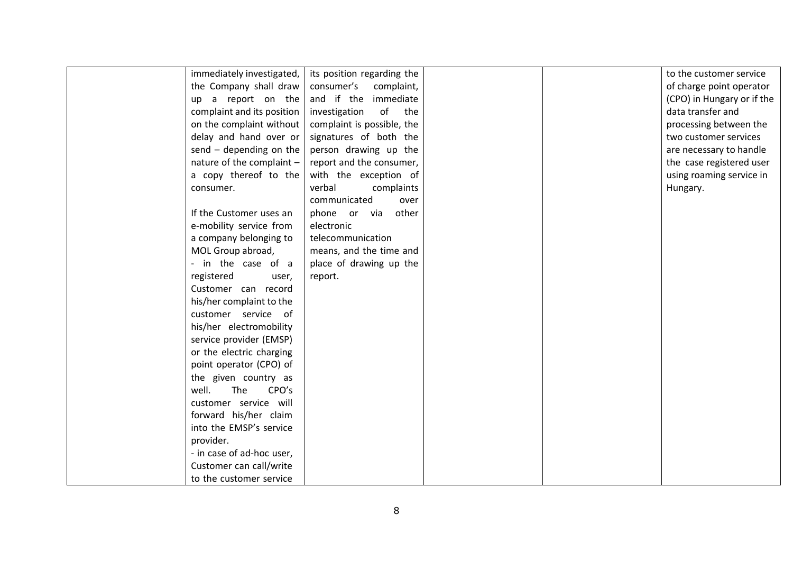|  | immediately investigated,  | its position regarding the |  | to the customer service    |
|--|----------------------------|----------------------------|--|----------------------------|
|  | the Company shall draw     | consumer's<br>complaint,   |  | of charge point operator   |
|  | up a report on the         | and if the immediate       |  | (CPO) in Hungary or if the |
|  | complaint and its position | of<br>investigation<br>the |  | data transfer and          |
|  | on the complaint without   | complaint is possible, the |  | processing between the     |
|  | delay and hand over or     | signatures of both the     |  | two customer services      |
|  | $send - depending on the$  | person drawing up the      |  | are necessary to handle    |
|  | nature of the complaint -  | report and the consumer,   |  | the case registered user   |
|  | a copy thereof to the      | with the exception of      |  | using roaming service in   |
|  | consumer.                  | verbal<br>complaints       |  | Hungary.                   |
|  |                            | communicated<br>over       |  |                            |
|  | If the Customer uses an    | phone or via<br>other      |  |                            |
|  | e-mobility service from    | electronic                 |  |                            |
|  | a company belonging to     | telecommunication          |  |                            |
|  | MOL Group abroad,          | means, and the time and    |  |                            |
|  | - in the case of a         | place of drawing up the    |  |                            |
|  | registered<br>user,        | report.                    |  |                            |
|  | Customer can record        |                            |  |                            |
|  | his/her complaint to the   |                            |  |                            |
|  | customer service of        |                            |  |                            |
|  | his/her electromobility    |                            |  |                            |
|  | service provider (EMSP)    |                            |  |                            |
|  | or the electric charging   |                            |  |                            |
|  | point operator (CPO) of    |                            |  |                            |
|  | the given country as       |                            |  |                            |
|  | well.<br>The<br>CPO's      |                            |  |                            |
|  | customer service will      |                            |  |                            |
|  | forward his/her claim      |                            |  |                            |
|  | into the EMSP's service    |                            |  |                            |
|  | provider.                  |                            |  |                            |
|  | - in case of ad-hoc user,  |                            |  |                            |
|  | Customer can call/write    |                            |  |                            |
|  | to the customer service    |                            |  |                            |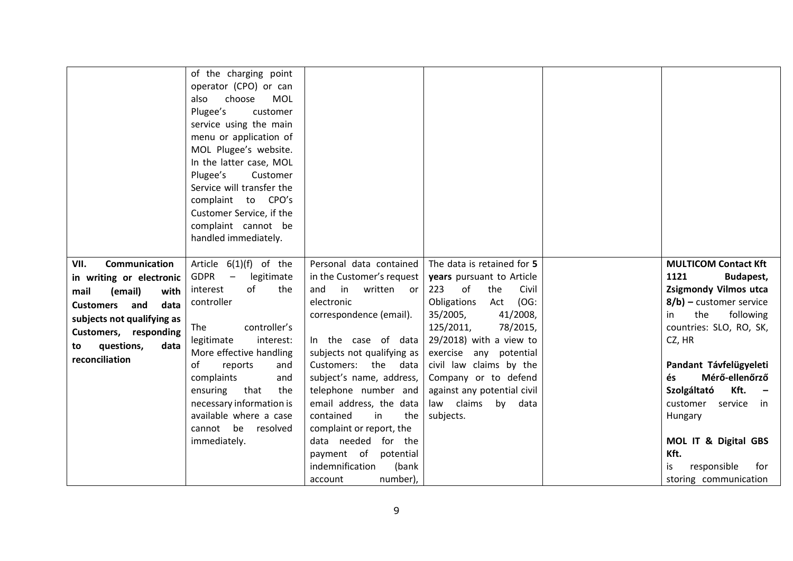|                                                                                                                        | of the charging point<br>operator (CPO) or can<br>choose<br>MOL<br>also<br>Plugee's<br>customer<br>service using the main<br>menu or application of<br>MOL Plugee's website.<br>In the latter case, MOL<br>Plugee's<br>Customer<br>Service will transfer the<br>complaint to CPO's<br>Customer Service, if the<br>complaint cannot be<br>handled immediately. |                                                                                                                              |                                                                                                                      |                                                                                                               |
|------------------------------------------------------------------------------------------------------------------------|---------------------------------------------------------------------------------------------------------------------------------------------------------------------------------------------------------------------------------------------------------------------------------------------------------------------------------------------------------------|------------------------------------------------------------------------------------------------------------------------------|----------------------------------------------------------------------------------------------------------------------|---------------------------------------------------------------------------------------------------------------|
| <b>Communication</b><br>VII.<br>in writing or electronic<br>(email)<br>mail<br>with<br><b>Customers</b><br>and<br>data | Article $6(1)(f)$ of the<br><b>GDPR</b><br>legitimate<br>$\overline{\phantom{0}}$<br>of<br>interest<br>the<br>controller                                                                                                                                                                                                                                      | Personal data contained<br>in the Customer's request<br>$\mathsf{in}$<br>written or<br>and<br>electronic                     | The data is retained for 5<br>years pursuant to Article<br>223<br>of<br>Civil<br>the<br>Obligations<br>(OG:<br>Act   | <b>MULTICOM Contact Kft</b><br>1121<br>Budapest,<br><b>Zsigmondy Vilmos utca</b><br>8/b) - customer service   |
| subjects not qualifying as<br>Customers, responding<br>questions,<br>data<br>to                                        | controller's<br>The<br>legitimate<br>interest:<br>More effective handling                                                                                                                                                                                                                                                                                     | correspondence (email).<br>In the case of data<br>subjects not qualifying as                                                 | 35/2005,<br>41/2008,<br>125/2011,<br>78/2015,<br>$29/2018$ ) with a view to<br>exercise any potential                | following<br>the<br>in.<br>countries: SLO, RO, SK,<br>CZ, HR                                                  |
| reconciliation                                                                                                         | of<br>reports<br>and<br>complaints<br>and<br>that<br>ensuring<br>the<br>necessary information is<br>available where a case                                                                                                                                                                                                                                    | Customers: the data<br>subject's name, address,<br>telephone number and<br>email address, the data<br>contained<br>in<br>the | civil law claims by the<br>Company or to defend<br>against any potential civil<br>law claims<br>by data<br>subjects. | Pandant Távfelügyeleti<br>Mérő-ellenőrző<br>és<br>Kft.<br>Szolgáltató<br>customer<br>service<br>in<br>Hungary |
|                                                                                                                        | cannot be<br>resolved<br>immediately.                                                                                                                                                                                                                                                                                                                         | complaint or report, the<br>data needed for the<br>payment of potential<br>indemnification<br>(bank<br>number),<br>account   |                                                                                                                      | MOL IT & Digital GBS<br>Kft.<br>responsible<br>is<br>for<br>storing communication                             |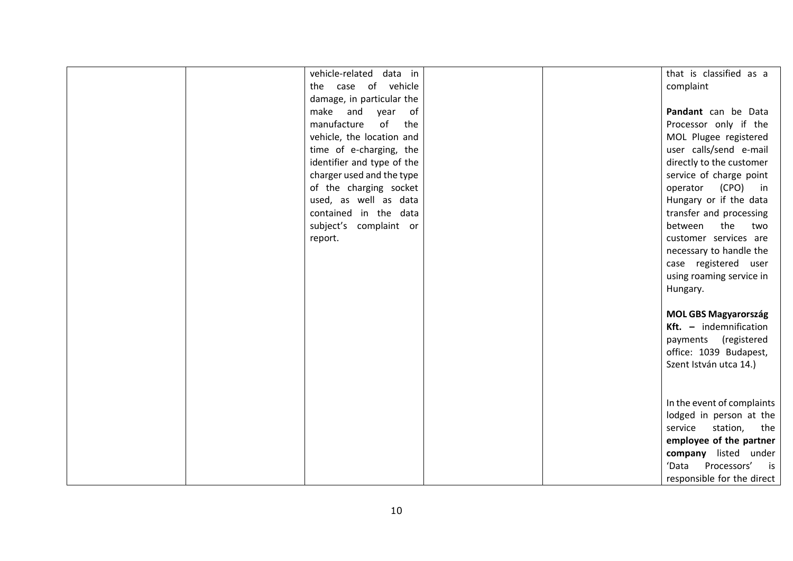|  | vehicle-related data in    |  | that is classified as a     |
|--|----------------------------|--|-----------------------------|
|  | the case of vehicle        |  | complaint                   |
|  | damage, in particular the  |  |                             |
|  | make and<br>year of        |  | Pandant can be Data         |
|  | manufacture<br>of<br>the   |  | Processor only if the       |
|  | vehicle, the location and  |  | MOL Plugee registered       |
|  | time of e-charging, the    |  | user calls/send e-mail      |
|  | identifier and type of the |  | directly to the customer    |
|  | charger used and the type  |  | service of charge point     |
|  | of the charging socket     |  | operator (CPO) in           |
|  | used, as well as data      |  | Hungary or if the data      |
|  | contained in the data      |  | transfer and processing     |
|  | subject's complaint or     |  | between the two             |
|  | report.                    |  | customer services are       |
|  |                            |  | necessary to handle the     |
|  |                            |  | case registered user        |
|  |                            |  | using roaming service in    |
|  |                            |  | Hungary.                    |
|  |                            |  |                             |
|  |                            |  | <b>MOL GBS Magyarország</b> |
|  |                            |  | Kft. $-$ indemnification    |
|  |                            |  | payments (registered        |
|  |                            |  | office: 1039 Budapest,      |
|  |                            |  | Szent István utca 14.)      |
|  |                            |  |                             |
|  |                            |  |                             |
|  |                            |  | In the event of complaints  |
|  |                            |  | lodged in person at the     |
|  |                            |  | service<br>station, the     |
|  |                            |  | employee of the partner     |
|  |                            |  | company listed under        |
|  |                            |  | Processors' is<br>'Data     |
|  |                            |  | responsible for the direct  |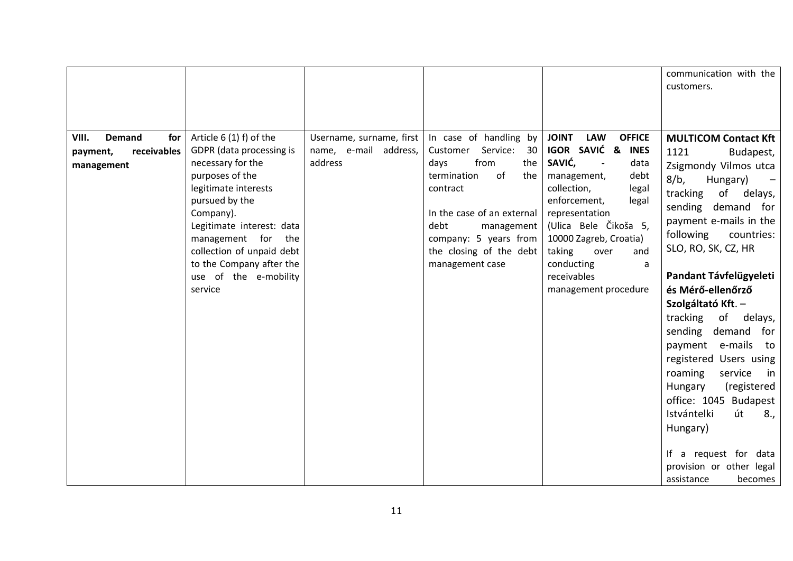|                                                                        |                                                                                                                                                                                                                                                                                                    |                                                              |                                                                                                                                                                                                                                                |                                                                                                                                                                                                                                                                                                                                                | communication with the<br>customers.                                                                                                                                                                                                                                                                                                                                                                                                                                                                                                                                                                         |
|------------------------------------------------------------------------|----------------------------------------------------------------------------------------------------------------------------------------------------------------------------------------------------------------------------------------------------------------------------------------------------|--------------------------------------------------------------|------------------------------------------------------------------------------------------------------------------------------------------------------------------------------------------------------------------------------------------------|------------------------------------------------------------------------------------------------------------------------------------------------------------------------------------------------------------------------------------------------------------------------------------------------------------------------------------------------|--------------------------------------------------------------------------------------------------------------------------------------------------------------------------------------------------------------------------------------------------------------------------------------------------------------------------------------------------------------------------------------------------------------------------------------------------------------------------------------------------------------------------------------------------------------------------------------------------------------|
| VIII.<br><b>Demand</b><br>for<br>receivables<br>payment,<br>management | Article 6 (1) f) of the<br>GDPR (data processing is<br>necessary for the<br>purposes of the<br>legitimate interests<br>pursued by the<br>Company).<br>Legitimate interest: data<br>management for the<br>collection of unpaid debt<br>to the Company after the<br>use of the e-mobility<br>service | Username, surname, first<br>name, e-mail address,<br>address | In case of handling by<br>Service:<br>30<br>Customer<br>from<br>the<br>days<br>of<br>termination<br>the<br>contract<br>In the case of an external<br>debt<br>management<br>company: 5 years from<br>the closing of the debt<br>management case | <b>LAW</b><br><b>JOINT</b><br><b>OFFICE</b><br>IGOR SAVIĆ & INES<br>SAVIĆ,<br>data<br>$\overline{\phantom{a}}$<br>management,<br>debt<br>collection,<br>legal<br>enforcement,<br>legal<br>representation<br>(Ulica Bele Čikoša 5,<br>10000 Zagreb, Croatia)<br>taking<br>over<br>and<br>conducting<br>a<br>receivables<br>management procedure | <b>MULTICOM Contact Kft</b><br>1121<br>Budapest,<br>Zsigmondy Vilmos utca<br>8/b,<br>Hungary)<br>tracking<br>of delays,<br>sending demand for<br>payment e-mails in the<br>following<br>countries:<br>SLO, RO, SK, CZ, HR<br>Pandant Távfelügyeleti<br>és Mérő-ellenőrző<br>Szolgáltató Kft. –<br>tracking<br>of<br>delays,<br>sending<br>demand for<br>payment e-mails<br>to<br>registered Users using<br>roaming<br>service<br>in<br>(registered<br>Hungary<br>office: 1045 Budapest<br>Istvántelki<br>út<br>8.,<br>Hungary)<br>If a request for data<br>provision or other legal<br>assistance<br>becomes |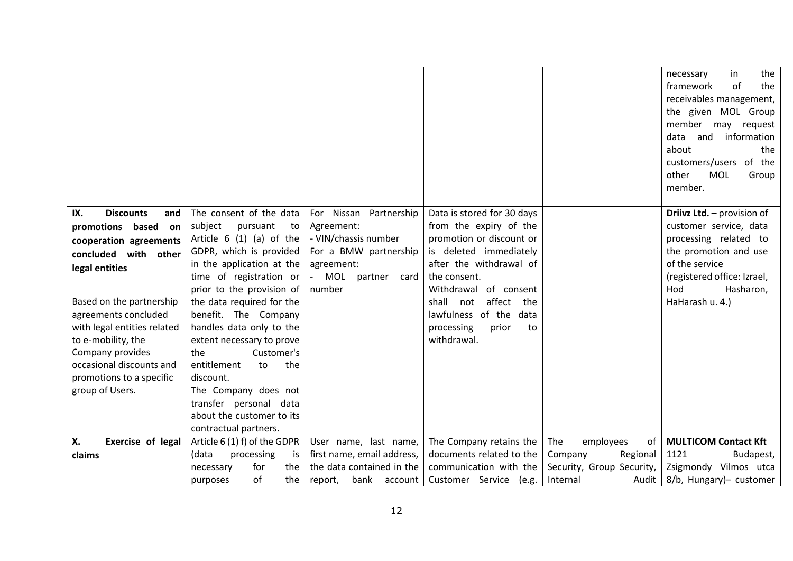|                                                                                                                                                                                                                                                                                                                                      |                                                                                                                                                                                                                                                                                                                                                                                                                                                                                      |                                                                                                                                   |                                                                                                                                                                                                                                                                                    |                                                                                                 | the<br>necessary<br>in<br>framework<br>the<br>of<br>receivables management,<br>the given MOL Group<br>member<br>request<br>may<br>data<br>information<br>and<br>about<br>the<br>customers/users of the<br>other<br><b>MOL</b><br>Group<br>member. |
|--------------------------------------------------------------------------------------------------------------------------------------------------------------------------------------------------------------------------------------------------------------------------------------------------------------------------------------|--------------------------------------------------------------------------------------------------------------------------------------------------------------------------------------------------------------------------------------------------------------------------------------------------------------------------------------------------------------------------------------------------------------------------------------------------------------------------------------|-----------------------------------------------------------------------------------------------------------------------------------|------------------------------------------------------------------------------------------------------------------------------------------------------------------------------------------------------------------------------------------------------------------------------------|-------------------------------------------------------------------------------------------------|---------------------------------------------------------------------------------------------------------------------------------------------------------------------------------------------------------------------------------------------------|
| <b>Discounts</b><br>IX.<br>and<br>promotions based<br>on<br>cooperation agreements<br>concluded with other<br>legal entities<br>Based on the partnership<br>agreements concluded<br>with legal entities related<br>to e-mobility, the<br>Company provides<br>occasional discounts and<br>promotions to a specific<br>group of Users. | The consent of the data<br>subject<br>pursuant<br>to<br>Article $6(1)(a)$ of the<br>GDPR, which is provided<br>in the application at the<br>time of registration or<br>prior to the provision of<br>the data required for the<br>benefit. The Company<br>handles data only to the<br>extent necessary to prove<br>Customer's<br>the<br>entitlement<br>the<br>to<br>discount.<br>The Company does not<br>transfer personal data<br>about the customer to its<br>contractual partners. | For Nissan Partnership<br>Agreement:<br>- VIN/chassis number<br>For a BMW partnership<br>agreement:<br>MOL partner card<br>number | Data is stored for 30 days<br>from the expiry of the<br>promotion or discount or<br>is deleted immediately<br>after the withdrawal of<br>the consent.<br>Withdrawal of consent<br>affect the<br>shall<br>not<br>lawfulness of the data<br>processing<br>prior<br>to<br>withdrawal. |                                                                                                 | Driivz Ltd. - provision of<br>customer service, data<br>processing related to<br>the promotion and use<br>of the service<br>(registered office: Izrael,<br>Hod<br>Hasharon,<br>HaHarash u. 4.)                                                    |
| Х.<br>Exercise of legal<br>claims                                                                                                                                                                                                                                                                                                    | Article 6 (1) f) of the GDPR<br>(data<br>processing<br>is<br>for<br>the<br>necessary<br>of<br>the<br>purposes                                                                                                                                                                                                                                                                                                                                                                        | User name, last name,<br>first name, email address,<br>the data contained in the<br>bank account<br>report,                       | The Company retains the<br>documents related to the<br>communication with the<br>Customer Service (e.g.                                                                                                                                                                            | The<br>0f<br>employees<br>Regional<br>Company<br>Security, Group Security,<br>Internal<br>Audit | <b>MULTICOM Contact Kft</b><br>1121<br>Budapest,<br>Zsigmondy Vilmos utca<br>8/b, Hungary)- customer                                                                                                                                              |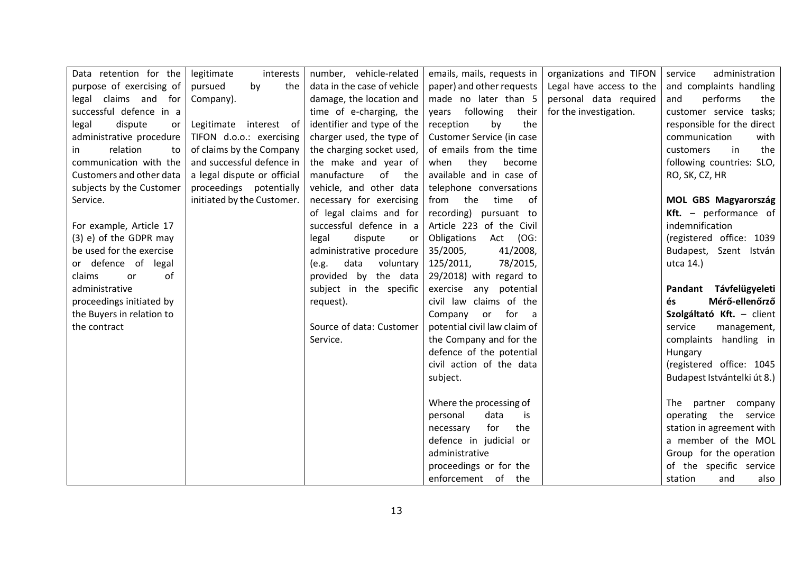| Data retention for the    | legitimate<br>interests     | number, vehicle-related       | emails, mails, requests in   | organizations and TIFON  | administration<br>service   |
|---------------------------|-----------------------------|-------------------------------|------------------------------|--------------------------|-----------------------------|
| purpose of exercising of  | by<br>pursued<br>the        | data in the case of vehicle   | paper) and other requests    | Legal have access to the | and complaints handling     |
| legal claims and for      | Company).                   | damage, the location and      | made no later than 5         | personal data required   | and<br>performs<br>the      |
| successful defence in a   |                             | time of e-charging, the       | years following<br>their     | for the investigation.   | customer service tasks;     |
| dispute<br>legal<br>or    | Legitimate interest of      | identifier and type of the    | reception<br>by<br>the       |                          | responsible for the direct  |
| administrative procedure  | TIFON d.o.o.: exercising    | charger used, the type of     | Customer Service (in case    |                          | communication<br>with       |
| relation<br>to<br>in.     | of claims by the Company    | the charging socket used,     | of emails from the time      |                          | the<br>in<br>customers      |
| communication with the    | and successful defence in   | the make and year of          | they<br>when<br>become       |                          | following countries: SLO,   |
| Customers and other data  | a legal dispute or official | manufacture<br>of<br>the      | available and in case of     |                          | RO, SK, CZ, HR              |
| subjects by the Customer  | proceedings potentially     | vehicle, and other data       | telephone conversations      |                          |                             |
| Service.                  | initiated by the Customer.  | necessary for exercising      | from the<br>time<br>of       |                          | MOL GBS Magyarország        |
|                           |                             | of legal claims and for       | recording) pursuant to       |                          | Kft. - performance of       |
| For example, Article 17   |                             | successful defence in a       | Article 223 of the Civil     |                          | indemnification             |
| (3) e) of the GDPR may    |                             | legal<br>dispute<br><b>or</b> | Obligations<br>Act (OG:      |                          | (registered office: 1039    |
| be used for the exercise  |                             | administrative procedure      | 35/2005,<br>41/2008,         |                          | Budapest, Szent István      |
| or defence of legal       |                             | data<br>voluntary<br>(e.g.    | 125/2011,<br>78/2015,        |                          | utca 14.)                   |
| claims<br>or<br>of        |                             | provided by the data          | 29/2018) with regard to      |                          |                             |
| administrative            |                             | subject in the specific       | exercise any potential       |                          | Pandant Távfelügyeleti      |
| proceedings initiated by  |                             | request).                     | civil law claims of the      |                          | Mérő-ellenőrző<br>és        |
| the Buyers in relation to |                             |                               | Company<br>for a<br>or       |                          | Szolgáltató Kft. - client   |
| the contract              |                             | Source of data: Customer      | potential civil law claim of |                          | service<br>management,      |
|                           |                             | Service.                      | the Company and for the      |                          | complaints handling in      |
|                           |                             |                               | defence of the potential     |                          | Hungary                     |
|                           |                             |                               | civil action of the data     |                          | (registered office: 1045    |
|                           |                             |                               | subject.                     |                          | Budapest Istvántelki út 8.) |
|                           |                             |                               |                              |                          |                             |
|                           |                             |                               | Where the processing of      |                          | The<br>partner company      |
|                           |                             |                               | personal<br>data<br>is       |                          | operating the service       |
|                           |                             |                               | for<br>the<br>necessary      |                          | station in agreement with   |
|                           |                             |                               | defence in judicial or       |                          | a member of the MOL         |
|                           |                             |                               | administrative               |                          | Group for the operation     |
|                           |                             |                               | proceedings or for the       |                          | of the specific service     |
|                           |                             |                               | enforcement of the           |                          | station<br>and<br>also      |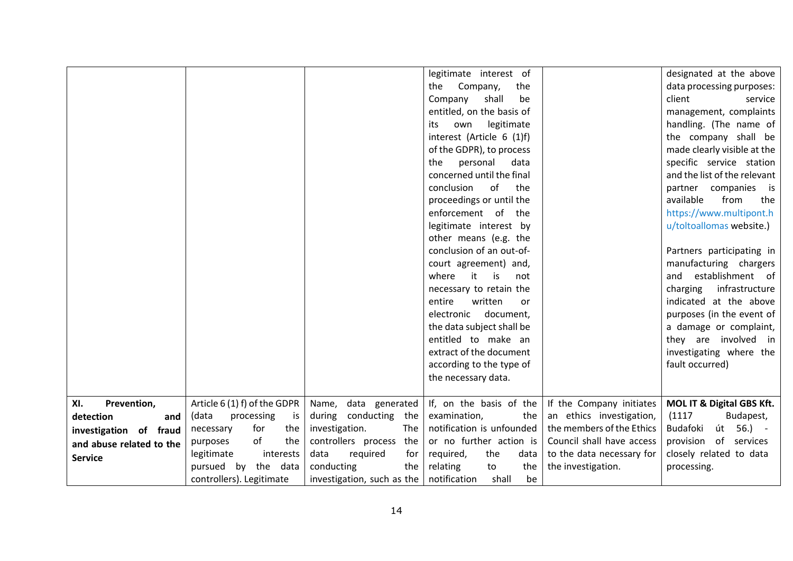|                                                                                                                |                                                                                                                                                                                             |                                                                                                                                                                                    | legitimate interest of<br>the<br>Company,<br>the<br>Company<br>shall<br>be<br>entitled, on the basis of<br>legitimate<br>its<br>own<br>interest (Article 6 (1)f)<br>of the GDPR), to process<br>personal<br>the<br>data<br>concerned until the final<br>conclusion<br>of<br>the<br>proceedings or until the<br>enforcement of the<br>legitimate interest by<br>other means (e.g. the<br>conclusion of an out-of-<br>court agreement) and,<br>where<br>it<br>is<br>not<br>necessary to retain the<br>entire<br>written<br>or<br>electronic<br>document,<br>the data subject shall be<br>entitled to make an<br>extract of the document<br>according to the type of |                                                                                                                                                                   | designated at the above<br>data processing purposes:<br>client<br>service<br>management, complaints<br>handling. (The name of<br>the company shall be<br>made clearly visible at the<br>specific service station<br>and the list of the relevant<br>partner companies is<br>from<br>available<br>the<br>https://www.multipont.h<br>u/toltoallomas website.)<br>Partners participating in<br>manufacturing chargers<br>establishment of<br>and<br>infrastructure<br>charging<br>indicated at the above<br>purposes (in the event of<br>a damage or complaint,<br>they are involved in<br>investigating where the<br>fault occurred) |
|----------------------------------------------------------------------------------------------------------------|---------------------------------------------------------------------------------------------------------------------------------------------------------------------------------------------|------------------------------------------------------------------------------------------------------------------------------------------------------------------------------------|-------------------------------------------------------------------------------------------------------------------------------------------------------------------------------------------------------------------------------------------------------------------------------------------------------------------------------------------------------------------------------------------------------------------------------------------------------------------------------------------------------------------------------------------------------------------------------------------------------------------------------------------------------------------|-------------------------------------------------------------------------------------------------------------------------------------------------------------------|------------------------------------------------------------------------------------------------------------------------------------------------------------------------------------------------------------------------------------------------------------------------------------------------------------------------------------------------------------------------------------------------------------------------------------------------------------------------------------------------------------------------------------------------------------------------------------------------------------------------------------|
|                                                                                                                |                                                                                                                                                                                             |                                                                                                                                                                                    | the necessary data.                                                                                                                                                                                                                                                                                                                                                                                                                                                                                                                                                                                                                                               |                                                                                                                                                                   |                                                                                                                                                                                                                                                                                                                                                                                                                                                                                                                                                                                                                                    |
| Prevention,<br>XI.<br>detection<br>and<br>investigation of fraud<br>and abuse related to the<br><b>Service</b> | Article 6 (1) f) of the GDPR<br>(data<br>processing<br>is<br>for<br>the<br>necessary<br>of<br>the<br>purposes<br>legitimate<br>interests<br>pursued by the data<br>controllers). Legitimate | data generated<br>Name,<br>during conducting the<br>investigation.<br>The<br>controllers process the<br>data<br>required<br>for<br>conducting<br>the<br>investigation, such as the | If, on the basis of the<br>examination,<br>the<br>notification is unfounded<br>or no further action is<br>required,<br>the<br>data<br>the<br>relating<br>to<br>notification<br>be<br>shall                                                                                                                                                                                                                                                                                                                                                                                                                                                                        | If the Company initiates<br>an ethics investigation,<br>the members of the Ethics<br>Council shall have access<br>to the data necessary for<br>the investigation. | MOL IT & Digital GBS Kft.<br>(1117)<br>Budapest,<br>Budafoki<br>út<br>$56.) -$<br>provision of services<br>closely related to data<br>processing.                                                                                                                                                                                                                                                                                                                                                                                                                                                                                  |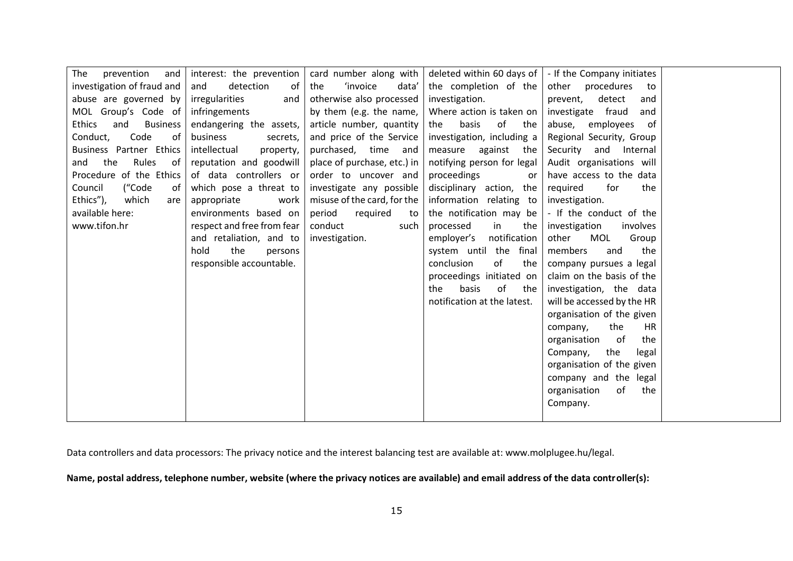| The<br>and<br>prevention                | interest: the prevention   | card number along with          |                             | deleted within 60 days of $\vert$ - If the Company initiates |  |
|-----------------------------------------|----------------------------|---------------------------------|-----------------------------|--------------------------------------------------------------|--|
| investigation of fraud and              | detection<br>of<br>and     | <i>'invoice</i><br>the<br>data' | the completion of the       | other<br>procedures<br>to                                    |  |
| abuse are governed by                   | irregularities<br>and      | otherwise also processed        | investigation.              | detect<br>prevent,<br>and                                    |  |
| MOL Group's Code of                     | infringements              | by them (e.g. the name,         | Where action is taken on    | investigate fraud<br>and                                     |  |
| <b>Ethics</b><br>and<br><b>Business</b> | endangering the assets,    | article number, quantity        | of<br>basis<br>the<br>the   | abuse,<br>employees<br>of                                    |  |
| Code<br>0f<br>Conduct,                  | business<br>secrets,       | and price of the Service        | investigation, including a  | Regional Security, Group                                     |  |
| Business Partner Ethics                 | intellectual<br>property,  | purchased, time and             | measure<br>against<br>the   | Security and Internal                                        |  |
| the<br>Rules<br>of<br>and               | reputation and goodwill    | place of purchase, etc.) in     | notifying person for legal  | Audit organisations will                                     |  |
| Procedure of the Ethics                 | of data controllers or     | order to uncover and            | proceedings<br>or           | have access to the data                                      |  |
| ("Code<br>Council<br>0f                 | which pose a threat to     | investigate any possible        | disciplinary action, the    | required<br>for<br>the                                       |  |
| Ethics"),<br>which<br>are               | appropriate<br>work        | misuse of the card, for the     | information relating to     | investigation.                                               |  |
| available here:                         | environments based on      | period<br>required<br>to        | the notification may be     | - If the conduct of the                                      |  |
| www.tifon.hr                            | respect and free from fear | conduct<br>such                 | processed<br>in<br>the      | investigation<br>involves                                    |  |
|                                         | and retaliation, and to    | investigation.                  | notification<br>employer's  | other<br>MOL<br>Group                                        |  |
|                                         | hold<br>the<br>persons     |                                 | system until the final      | the<br>members<br>and                                        |  |
|                                         | responsible accountable.   |                                 | of<br>conclusion<br>the     | company pursues a legal                                      |  |
|                                         |                            |                                 | proceedings initiated on    | claim on the basis of the                                    |  |
|                                         |                            |                                 | of<br>the<br>basis<br>the   | investigation, the data                                      |  |
|                                         |                            |                                 | notification at the latest. | will be accessed by the HR                                   |  |
|                                         |                            |                                 |                             | organisation of the given                                    |  |
|                                         |                            |                                 |                             | the<br>HR<br>company,                                        |  |
|                                         |                            |                                 |                             | - of<br>the<br>organisation                                  |  |
|                                         |                            |                                 |                             | the<br>Company,<br>legal                                     |  |
|                                         |                            |                                 |                             | organisation of the given                                    |  |
|                                         |                            |                                 |                             | company and the legal                                        |  |
|                                         |                            |                                 |                             | organisation<br>of<br>the                                    |  |
|                                         |                            |                                 |                             | Company.                                                     |  |
|                                         |                            |                                 |                             |                                                              |  |

Data controllers and data processors: The privacy notice and the interest balancing test are available at: www.molplugee.hu/legal.

**Name, postal address, telephone number, website (where the privacy notices are available) and email address of the data controller(s):**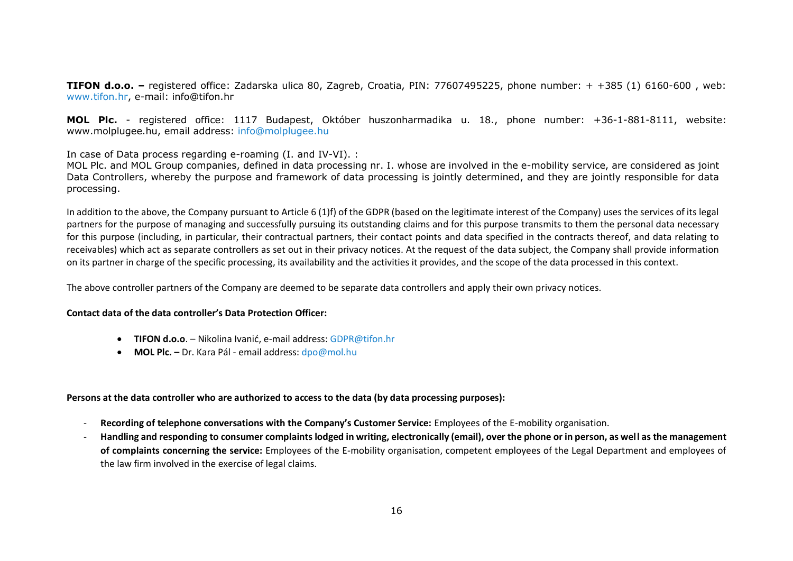**TIFON d.o.o. –** registered office: Zadarska ulica 80, Zagreb, Croatia, PIN: 77607495225, phone number: + +385 (1) 6160-600 , web: [www.tifon.hr,](http://www.tifon.hr/) e-mail: info@tifon.hr

**MOL Plc.** - registered office: 1117 Budapest, Október huszonharmadika u. 18., phone number: +36-1-881-8111, website: www.molplugee.hu, email address: [info@molplugee.hu](mailto:info@molplugee.hu)

In case of Data process regarding e-roaming (I. and IV-VI). :

MOL Plc. and MOL Group companies, defined in data processing nr. I. whose are involved in the e-mobility service, are considered as joint Data Controllers, whereby the purpose and framework of data processing is jointly determined, and they are jointly responsible for data processing.

In addition to the above, the Company pursuant to Article 6 (1)f) of the GDPR (based on the legitimate interest of the Company) uses the services of its legal partners for the purpose of managing and successfully pursuing its outstanding claims and for this purpose transmits to them the personal data necessary for this purpose (including, in particular, their contractual partners, their contact points and data specified in the contracts thereof, and data relating to receivables) which act as separate controllers as set out in their privacy notices. At the request of the data subject, the Company shall provide information on its partner in charge of the specific processing, its availability and the activities it provides, and the scope of the data processed in this context.

The above controller partners of the Company are deemed to be separate data controllers and apply their own privacy notices.

## **Contact data of the data controller's Data Protection Officer:**

- **TIFON d.o.o**. Nikolina Ivanić, e-mail address[: GDPR@tifon.hr](mailto:GDPR@tifon.hr)
- **MOL Plc. –** Dr. Kara Pál email address: [dpo@mol.hu](mailto:dpo@mol.hu)

#### **Persons at the data controller who are authorized to access to the data (by data processing purposes):**

- **Recording of telephone conversations with the Company's Customer Service:** Employees of the E-mobility organisation.
- **Handling and responding to consumer complaints lodged in writing, electronically (email), over the phone or in person, as well as the management of complaints concerning the service:** Employees of the E-mobility organisation, competent employees of the Legal Department and employees of the law firm involved in the exercise of legal claims.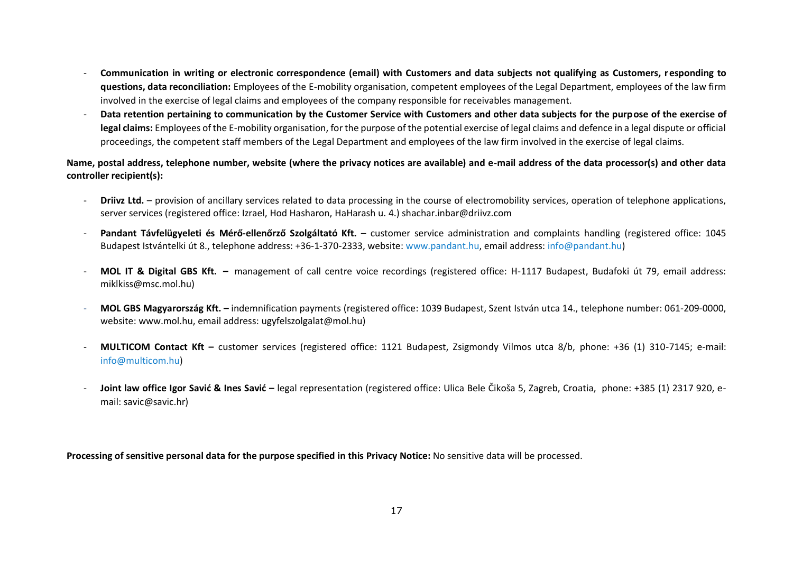- **Communication in writing or electronic correspondence (email) with Customers and data subjects not qualifying as Customers, responding to questions, data reconciliation:** Employees of the E-mobility organisation, competent employees of the Legal Department, employees of the law firm involved in the exercise of legal claims and employees of the company responsible for receivables management.
- **Data retention pertaining to communication by the Customer Service with Customers and other data subjects for the purpose of the exercise of legal claims:** Employees of the E-mobility organisation, for the purpose of the potential exercise of legal claims and defence in a legal dispute or official proceedings, the competent staff members of the Legal Department and employees of the law firm involved in the exercise of legal claims.

**Name, postal address, telephone number, website (where the privacy notices are available) and e-mail address of the data processor(s) and other data controller recipient(s):**

- **Driivz Ltd.** provision of ancillary services related to data processing in the course of electromobility services, operation of telephone applications, server services (registered office: Izrael, Hod Hasharon, HaHarash u. 4.) shachar.inbar@driivz.com
- **Pandant Távfelügyeleti és Mérő-ellenőrző Szolgáltató Kft.** customer service administration and complaints handling (registered office: 1045 Budapest Istvántelki út 8., telephone address: +36-1-370-2333, website: [www.pandant.hu,](http://www.pandant.hu/) email address: [info@pandant.hu\)](mailto:info@pandant.hu)
- **MOL IT & Digital GBS Kft. –** management of call centre voice recordings (registered office: H-1117 Budapest, Budafoki út 79, email address: miklkiss@msc.mol.hu)
- **MOL GBS Magyarország Kft. –** indemnification payments (registered office: 1039 Budapest, Szent István utca 14., telephone number: 061-209-0000, website: www.mol.hu, email address[: ugyfelszolgalat@mol.hu\)](mailto:ugyfelszolgalat@mol.hu)
- **MULTICOM Contact Kft –** customer services (registered office: 1121 Budapest, Zsigmondy Vilmos utca 8/b, phone: +36 (1) 310-7145; e-mail: [info@multicom.hu\)](mailto:info@multicom.hu)
- **Joint law office Igor Savić & Ines Savić –** legal representation (registered office: Ulica Bele Čikoša 5, Zagreb, Croatia, phone: +385 (1) 2317 920, email: savic@savic.hr)

**Processing of sensitive personal data for the purpose specified in this Privacy Notice:** No sensitive data will be processed.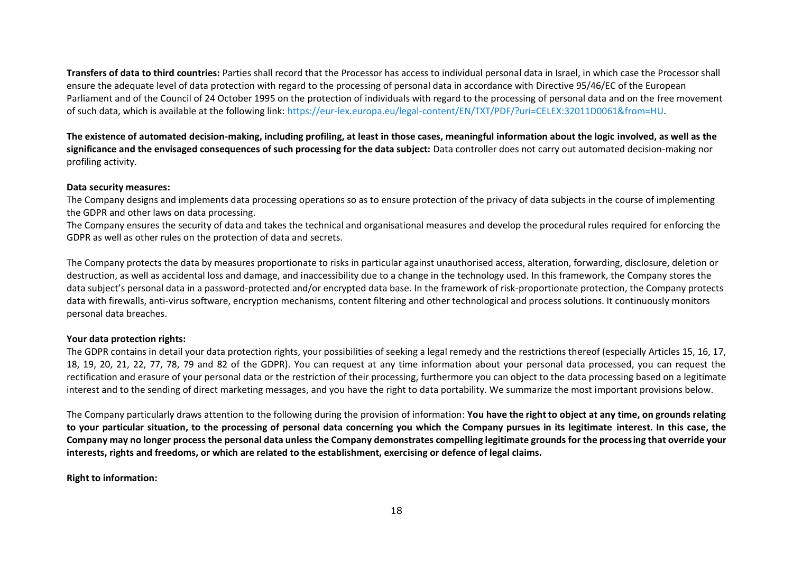**Transfers of data to third countries:** Parties shall record that the Processor has access to individual personal data in Israel, in which case the Processor shall ensure the adequate level of data protection with regard to the processing of personal data in accordance with Directive 95/46/EC of the European Parliament and of the Council of 24 October 1995 on the protection of individuals with regard to the processing of personal data and on the free movement of such data, which is available at the following link: [https://eur-lex.europa.eu/legal-content/EN/TXT/PDF/?uri=CELEX:32011D0061&from=HU.](https://eur-lex.europa.eu/legal-content/EN/TXT/PDF/?uri=CELEX:32011D0061&from=HU)

**The existence of automated decision-making, including profiling, at least in those cases, meaningful information about the logic involved, as well as the significance and the envisaged consequences of such processing for the data subject:** Data controller does not carry out automated decision-making nor profiling activity.

#### **Data security measures:**

The Company designs and implements data processing operations so as to ensure protection of the privacy of data subjects in the course of implementing the GDPR and other laws on data processing.

The Company ensures the security of data and takes the technical and organisational measures and develop the procedural rules required for enforcing the GDPR as well as other rules on the protection of data and secrets.

The Company protects the data by measures proportionate to risks in particular against unauthorised access, alteration, forwarding, disclosure, deletion or destruction, as well as accidental loss and damage, and inaccessibility due to a change in the technology used. In this framework, the Company stores the data subject's personal data in a password-protected and/or encrypted data base. In the framework of risk-proportionate protection, the Company protects data with firewalls, anti-virus software, encryption mechanisms, content filtering and other technological and process solutions. It continuously monitors personal data breaches.

#### **Your data protection rights:**

The GDPR contains in detail your data protection rights, your possibilities of seeking a legal remedy and the restrictions thereof (especially Articles 15, 16, 17, 18, 19, 20, 21, 22, 77, 78, 79 and 82 of the GDPR). You can request at any time information about your personal data processed, you can request the rectification and erasure of your personal data or the restriction of their processing, furthermore you can object to the data processing based on a legitimate interest and to the sending of direct marketing messages, and you have the right to data portability. We summarize the most important provisions below.

The Company particularly draws attention to the following during the provision of information: **You have the right to object at any time, on grounds relating to your particular situation, to the processing of personal data concerning you which the Company pursues in its legitimate interest. In this case, the Company may no longer process the personal data unless the Company demonstrates compelling legitimate grounds for the processing that override your interests, rights and freedoms, or which are related to the establishment, exercising or defence of legal claims.**

#### **Right to information:**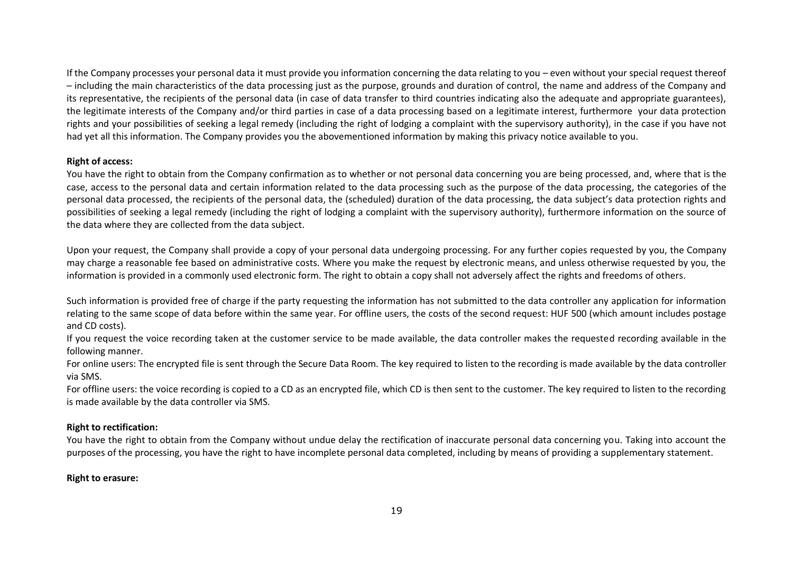If the Company processes your personal data it must provide you information concerning the data relating to you – even without your special request thereof – including the main characteristics of the data processing just as the purpose, grounds and duration of control, the name and address of the Company and its representative, the recipients of the personal data (in case of data transfer to third countries indicating also the adequate and appropriate guarantees), the legitimate interests of the Company and/or third parties in case of a data processing based on a legitimate interest, furthermore your data protection rights and your possibilities of seeking a legal remedy (including the right of lodging a complaint with the supervisory authority), in the case if you have not had yet all this information. The Company provides you the abovementioned information by making this privacy notice available to you.

## **Right of access:**

You have the right to obtain from the Company confirmation as to whether or not personal data concerning you are being processed, and, where that is the case, access to the personal data and certain information related to the data processing such as the purpose of the data processing, the categories of the personal data processed, the recipients of the personal data, the (scheduled) duration of the data processing, the data subject's data protection rights and possibilities of seeking a legal remedy (including the right of lodging a complaint with the supervisory authority), furthermore information on the source of the data where they are collected from the data subject.

Upon your request, the Company shall provide a copy of your personal data undergoing processing. For any further copies requested by you, the Company may charge a reasonable fee based on administrative costs. Where you make the request by electronic means, and unless otherwise requested by you, the information is provided in a commonly used electronic form. The right to obtain a copy shall not adversely affect the rights and freedoms of others.

Such information is provided free of charge if the party requesting the information has not submitted to the data controller any application for information relating to the same scope of data before within the same year. For offline users, the costs of the second request: HUF 500 (which amount includes postage and CD costs).

If you request the voice recording taken at the customer service to be made available, the data controller makes the requested recording available in the following manner.

For online users: The encrypted file is sent through the Secure Data Room. The key required to listen to the recording is made available by the data controller via SMS.

For offline users: the voice recording is copied to a CD as an encrypted file, which CD is then sent to the customer. The key required to listen to the recording is made available by the data controller via SMS.

#### **Right to rectification:**

You have the right to obtain from the Company without undue delay the rectification of inaccurate personal data concerning you. Taking into account the purposes of the processing, you have the right to have incomplete personal data completed, including by means of providing a supplementary statement.

#### **Right to erasure:**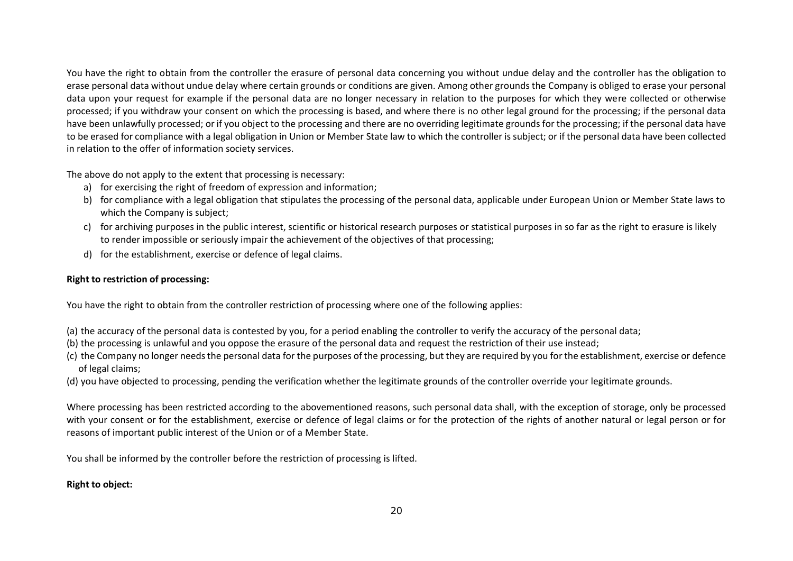You have the right to obtain from the controller the erasure of personal data concerning you without undue delay and the controller has the obligation to erase personal data without undue delay where certain grounds or conditions are given. Among other grounds the Company is obliged to erase your personal data upon your request for example if the personal data are no longer necessary in relation to the purposes for which they were collected or otherwise processed; if you withdraw your consent on which the processing is based, and where there is no other legal ground for the processing; if the personal data have been unlawfully processed; or if you object to the processing and there are no overriding legitimate grounds for the processing; if the personal data have to be erased for compliance with a legal obligation in Union or Member State law to which the controller is subject; or if the personal data have been collected in relation to the offer of information society services.

The above do not apply to the extent that processing is necessary:

- a) for exercising the right of freedom of expression and information;
- b) for compliance with a legal obligation that stipulates the processing of the personal data, applicable under European Union or Member State laws to which the Company is subject;
- c) for archiving purposes in the public interest, scientific or historical research purposes or statistical purposes in so far as the right to erasure is likely to render impossible or seriously impair the achievement of the objectives of that processing;
- d) for the establishment, exercise or defence of legal claims.

## **Right to restriction of processing:**

You have the right to obtain from the controller restriction of processing where one of the following applies:

- (a) the accuracy of the personal data is contested by you, for a period enabling the controller to verify the accuracy of the personal data;
- (b) the processing is unlawful and you oppose the erasure of the personal data and request the restriction of their use instead;
- (c) the Company no longer needs the personal data for the purposes of the processing, but they are required by you for the establishment, exercise or defence of legal claims;
- (d) you have objected to processing, pending the verification whether the legitimate grounds of the controller override your legitimate grounds.

Where processing has been restricted according to the abovementioned reasons, such personal data shall, with the exception of storage, only be processed with your consent or for the establishment, exercise or defence of legal claims or for the protection of the rights of another natural or legal person or for reasons of important public interest of the Union or of a Member State.

You shall be informed by the controller before the restriction of processing is lifted.

# **Right to object:**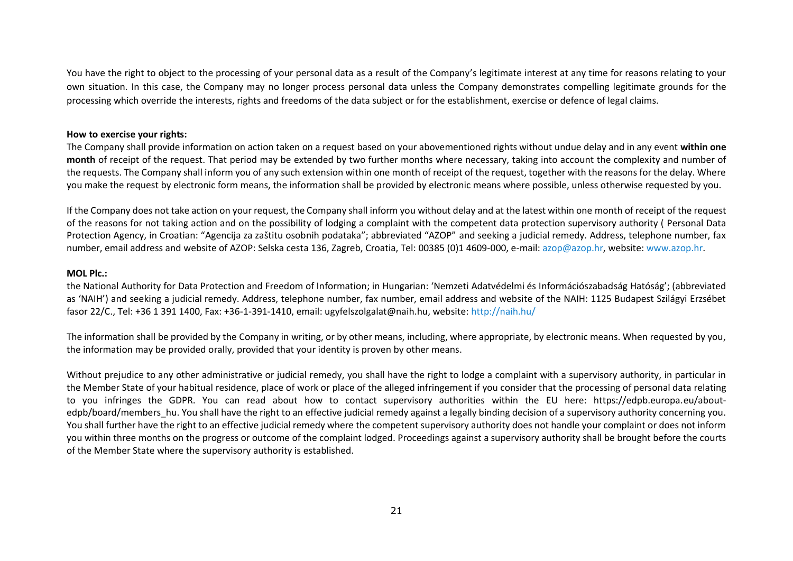You have the right to object to the processing of your personal data as a result of the Company's legitimate interest at any time for reasons relating to your own situation. In this case, the Company may no longer process personal data unless the Company demonstrates compelling legitimate grounds for the processing which override the interests, rights and freedoms of the data subject or for the establishment, exercise or defence of legal claims.

#### **How to exercise your rights:**

The Company shall provide information on action taken on a request based on your abovementioned rights without undue delay and in any event **within one month** of receipt of the request. That period may be extended by two further months where necessary, taking into account the complexity and number of the requests. The Company shall inform you of any such extension within one month of receipt of the request, together with the reasons for the delay. Where you make the request by electronic form means, the information shall be provided by electronic means where possible, unless otherwise requested by you.

If the Company does not take action on your request, the Company shall inform you without delay and at the latest within one month of receipt of the request of the reasons for not taking action and on the possibility of lodging a complaint with the competent data protection supervisory authority ( Personal Data Protection Agency, in Croatian: "Agencija za zaštitu osobnih podataka"; abbreviated "AZOP" and seeking a judicial remedy. Address, telephone number, fax number, email address and website of AZOP: Selska cesta 136, Zagreb, Croatia, Tel: 00385 (0)1 4609-000, e-mail: [azop@azop.hr,](mailto:azop@azop.hr) website: [www.azop.hr.](http://www.azop.hr/)

#### **MOL Plc.:**

the National Authority for Data Protection and Freedom of Information; in Hungarian: 'Nemzeti Adatvédelmi és Információszabadság Hatóság'; (abbreviated as 'NAIH') and seeking a judicial remedy. Address, telephone number, fax number, email address and website of the NAIH: 1125 Budapest Szilágyi Erzsébet fasor 22/C., Tel: +36 1 391 1400, Fax: +36-1-391-1410, email: ugyfelszolgalat@naih.hu, website:<http://naih.hu/>

The information shall be provided by the Company in writing, or by other means, including, where appropriate, by electronic means. When requested by you, the information may be provided orally, provided that your identity is proven by other means.

Without prejudice to any other administrative or judicial remedy, you shall have the right to lodge a complaint with a supervisory authority, in particular in the Member State of your habitual residence, place of work or place of the alleged infringement if you consider that the processing of personal data relating to you infringes the GDPR. You can read about how to contact supervisory authorities within the EU here: https://edpb.europa.eu/aboutedpb/board/members hu. You shall have the right to an effective judicial remedy against a legally binding decision of a supervisory authority concerning you. You shall further have the right to an effective judicial remedy where the competent supervisory authority does not handle your complaint or does not inform you within three months on the progress or outcome of the complaint lodged. Proceedings against a supervisory authority shall be brought before the courts of the Member State where the supervisory authority is established.